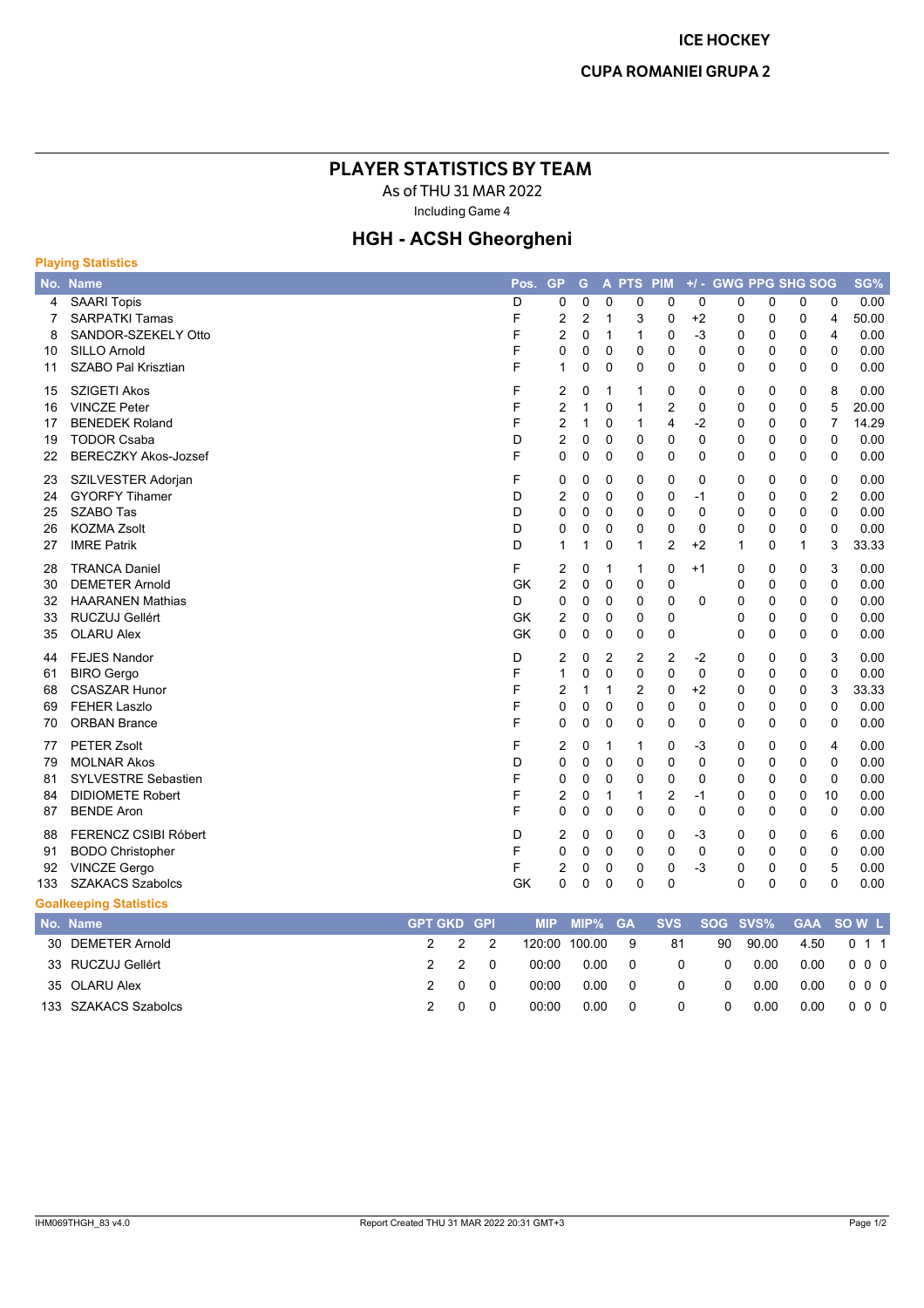## **PLAYER STATISTICS BY TEAM**

As of THU 31 MAR 2022

Including Game 4

## **HGH - ACSH Gheorgheni**

| <b>Playing Statistics</b> |                               |                |            |           |                |                |                |                |                |                     |              |             |              |                |       |
|---------------------------|-------------------------------|----------------|------------|-----------|----------------|----------------|----------------|----------------|----------------|---------------------|--------------|-------------|--------------|----------------|-------|
|                           | No. Name                      |                |            | Pos.      | <b>GP</b>      | G              |                | A PTS PIM      |                | +/- GWG PPG SHG SOG |              |             |              |                | SG%   |
| 4                         | <b>SAARI Topis</b>            |                |            | D         | 0              | 0              | $\mathbf 0$    | 0              | 0              | 0                   | 0            | 0           | 0            | 0              | 0.00  |
| 7                         | <b>SARPATKI Tamas</b>         |                |            | F         | 2              | $\overline{2}$ | 1              | 3              | 0              | $+2$                | 0            | 0           | 0            | 4              | 50.00 |
| 8                         | SANDOR-SZEKELY Otto           |                |            | F         | $\overline{2}$ | 0              | $\mathbf{1}$   | 1              | 0              | $-3$                | 0            | $\pmb{0}$   | $\mathbf 0$  | $\overline{4}$ | 0.00  |
| 10                        | <b>SILLO Arnold</b>           |                |            | F         | 0              | 0              | 0              | 0              | 0              | 0                   | 0            | 0           | 0            | 0              | 0.00  |
| 11                        | SZABO Pal Krisztian           |                |            | F         | 1              | 0              | 0              | 0              | 0              | 0                   | 0            | 0           | $\Omega$     | $\mathbf 0$    | 0.00  |
| 15                        | <b>SZIGETI Akos</b>           |                |            | F         | 2              | 0              | 1              | 1              | $\mathbf 0$    | $\mathbf 0$         | 0            | 0           | 0            | 8              | 0.00  |
| 16                        | <b>VINCZE Peter</b>           |                |            | F         | $\overline{2}$ | 1              | $\mathbf 0$    | 1              | $\overline{2}$ | 0                   | 0            | 0           | 0            | 5              | 20.00 |
| 17                        | <b>BENEDEK Roland</b>         |                |            | F         | $\overline{2}$ | 1              | $\mathbf{0}$   | 1              | 4              | $-2$                | 0            | $\mathbf 0$ | $\Omega$     | $\overline{7}$ | 14.29 |
| 19                        | <b>TODOR Csaba</b>            |                |            | D         | $\overline{2}$ | $\mathbf 0$    | $\mathbf 0$    | $\mathbf 0$    | 0              | 0                   | 0            | 0           | 0            | $\mathbf 0$    | 0.00  |
| 22                        | <b>BERECZKY Akos-Jozsef</b>   |                |            | F         | $\Omega$       | $\mathbf 0$    | $\mathbf 0$    | $\mathbf{0}$   | $\mathbf 0$    | $\mathbf 0$         | 0            | $\mathbf 0$ | $\mathbf 0$  | $\mathbf 0$    | 0.00  |
| 23                        | SZILVESTER Adorjan            |                |            | F         | 0              | 0              | 0              | 0              | 0              | 0                   | 0            | 0           | 0            | $\mathbf 0$    | 0.00  |
| 24                        | <b>GYORFY Tihamer</b>         |                |            | D         | $\overline{2}$ | 0              | $\Omega$       | $\mathbf{0}$   | $\mathbf 0$    | $-1$                | 0            | 0           | 0            | $\overline{2}$ | 0.00  |
| 25                        | SZABO Tas                     |                |            | D         | $\mathbf 0$    | 0              | $\Omega$       | $\mathbf{0}$   | $\mathbf 0$    | $\mathbf 0$         | 0            | $\mathbf 0$ | $\Omega$     | $\Omega$       | 0.00  |
| 26                        | <b>KOZMA Zsolt</b>            |                |            | D         | 0              | 0              | 0              | 0              | 0              | 0                   | 0            | 0           | 0            | 0              | 0.00  |
| 27                        | <b>IMRE Patrik</b>            |                |            | D         | $\mathbf{1}$   | 1              | $\mathbf 0$    | 1              | $\overline{2}$ | $+2$                | $\mathbf{1}$ | 0           | $\mathbf{1}$ | 3              | 33.33 |
| 28                        | <b>TRANCA Daniel</b>          |                |            | F         | 2              | $\Omega$       | $\mathbf 1$    | 1              | $\mathbf 0$    | $+1$                | 0            | 0           | 0            | 3              | 0.00  |
| 30                        | <b>DEMETER Arnold</b>         |                |            | <b>GK</b> | 2              | 0              | $\mathbf 0$    | 0              | 0              |                     | 0            | 0           | $\mathbf 0$  | $\mathbf 0$    | 0.00  |
| 32                        | <b>HAARANEN Mathias</b>       |                |            | D         | 0              | 0              | $\mathbf 0$    | 0              | 0              | 0                   | 0            | 0           | 0            | $\pmb{0}$      | 0.00  |
| 33                        | RUCZUJ Gellért                |                |            | GK        | 2              | 0              | $\mathbf 0$    | 0              | 0              |                     | 0            | $\mathbf 0$ | 0            | $\mathbf 0$    | 0.00  |
| 35                        | <b>OLARU Alex</b>             |                |            | GK        | 0              | 0              | 0              | 0              | 0              |                     | 0            | 0           | 0            | $\mathbf 0$    | 0.00  |
| 44                        | <b>FEJES Nandor</b>           |                |            | D         | 2              | $\mathbf 0$    | $\overline{2}$ | $\overline{c}$ | $\overline{2}$ | $-2$                | 0            | 0           | $\mathbf 0$  | 3              | 0.00  |
| 61                        | <b>BIRO</b> Gergo             |                |            | F         | $\mathbf 1$    | 0              | $\mathbf 0$    | 0              | $\mathbf 0$    | 0                   | 0            | $\mathbf 0$ | $\mathbf 0$  | $\mathbf 0$    | 0.00  |
| 68                        | <b>CSASZAR Hunor</b>          |                |            | F         | $\overline{2}$ | 1              | 1              | 2              | 0              | $+2$                | 0            | 0           | 0            | 3              | 33.33 |
| 69                        | <b>FEHER Laszlo</b>           |                |            | F         | $\mathbf 0$    | 0              | $\mathbf 0$    | $\mathbf{0}$   | 0              | $\mathbf 0$         | 0            | 0           | 0            | $\mathbf 0$    | 0.00  |
| 70                        | <b>ORBAN Brance</b>           |                |            | F         | 0              | $\mathbf 0$    | $\mathbf 0$    | 0              | $\mathbf 0$    | $\mathbf 0$         | 0            | $\mathbf 0$ | $\mathbf 0$  | $\mathbf 0$    | 0.00  |
| 77                        | <b>PETER Zsolt</b>            |                |            | F         | 2              | 0              | 1              | 1              | 0              | -3                  | 0            | 0           | 0            | 4              | 0.00  |
| 79                        | <b>MOLNAR Akos</b>            |                |            | D         | $\mathbf 0$    | 0              | $\Omega$       | 0              | 0              | 0                   | 0            | 0           | 0            | 0              | 0.00  |
| 81                        | <b>SYLVESTRE Sebastien</b>    |                |            | F         | $\mathbf 0$    | $\mathbf 0$    | $\mathbf 0$    | $\mathbf{0}$   | $\mathbf 0$    | $\mathbf 0$         | 0            | $\mathbf 0$ | $\mathbf 0$  | $\mathbf 0$    | 0.00  |
| 84                        | <b>DIDIOMETE Robert</b>       |                |            | F         | $\overline{2}$ | 0              | 1              | 1              | $\overline{2}$ | $-1$                | 0            | 0           | $\mathbf 0$  | 10             | 0.00  |
| 87                        | <b>BENDE Aron</b>             |                |            | F         | $\mathbf 0$    | 0              | $\mathbf 0$    | 0              | $\mathbf 0$    | 0                   | 0            | 0           | $\mathbf 0$  | 0              | 0.00  |
| 88                        | <b>FERENCZ CSIBI Róbert</b>   |                |            | D         | $\overline{2}$ | 0              | $\Omega$       | 0              | 0              | -3                  | 0            | 0           | 0            | 6              | 0.00  |
| 91                        | <b>BODO Christopher</b>       |                |            | F         | $\mathbf 0$    | 0              | $\mathbf 0$    | 0              | $\mathbf 0$    | $\mathbf 0$         | 0            | $\mathbf 0$ | 0            | $\mathbf 0$    | 0.00  |
| 92                        | <b>VINCZE Gergo</b>           |                |            | F         | 2              | 0              | 0              | 0              | $\pmb{0}$      | $-3$                | 0            | $\pmb{0}$   | 0            | 5              | 0.00  |
| 133                       | <b>SZAKACS Szabolcs</b>       |                |            | GK        | $\mathbf 0$    | 0              | 0              | 0              | 0              |                     | 0            | 0           | 0            | $\mathbf 0$    | 0.00  |
|                           | <b>Goalkeeping Statistics</b> |                |            |           |                |                |                |                |                |                     |              |             |              |                |       |
|                           | No. Name                      | <b>GPT GKD</b> | <b>GPI</b> |           | <b>MIP</b>     | MIP%           |                | <b>GA</b>      | <b>SVS</b>     | <b>SOG</b>          | SVS%         |             | <b>GAA</b>   |                | SOW L |

| <b>IV. MAIL</b>      |     |       |       |                 |    |                |       |                                | $\mathbf{m}$ $\mathbf{m}$ $\mathbf{m}$ $\mathbf{v}$ $\mathbf{v}$ $\mathbf{v}$ $\mathbf{v}$ $\mathbf{v}$ $\mathbf{v}$ $\mathbf{v}$ $\mathbf{v}$ $\mathbf{v}$ $\mathbf{v}$ |
|----------------------|-----|-------|-------|-----------------|----|----------------|-------|--------------------------------|--------------------------------------------------------------------------------------------------------------------------------------------------------------------------|
| 30 DEMETER Arnold    |     | 2 2 2 |       | 120:00 100.00 9 | 81 | 90             | 90.00 | $\therefore$ 4.50 $\therefore$ | 0 1 1                                                                                                                                                                    |
| 33 RUCZUJ Gellért    |     | 220   | 00:00 | 0.00 0          | 0  | $\overline{0}$ | 0.00  |                                | 0.00 0 0 0                                                                                                                                                               |
| 35 OLARU Alex        |     | 200   | 00:00 | $0.00 \qquad 0$ | 0  | $\overline{0}$ | 0.00  |                                | 0.00 0 0 0                                                                                                                                                               |
| 133 SZAKACS Szabolcs | _ റ |       | 00:00 | 0.00 0          | 0  | $\Omega$       | 0.00  | 0.00                           | $\begin{array}{ccc} & 0 & 0 & 0 \end{array}$                                                                                                                             |